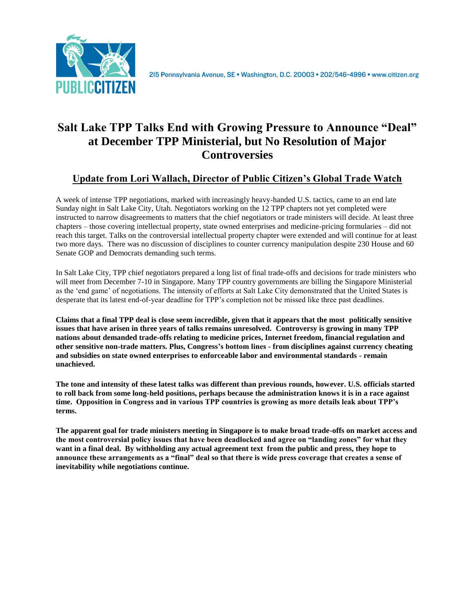

# **Salt Lake TPP Talks End with Growing Pressure to Announce "Deal" at December TPP Ministerial, but No Resolution of Major Controversies**

# **Update from Lori Wallach, Director of Public Citizen's Global Trade Watch**

A week of intense TPP negotiations, marked with increasingly heavy-handed U.S. tactics, came to an end late Sunday night in Salt Lake City, Utah. Negotiators working on the 12 TPP chapters not yet completed were instructed to narrow disagreements to matters that the chief negotiators or trade ministers will decide. At least three chapters – those covering intellectual property, state owned enterprises and medicine-pricing formularies – did not reach this target. Talks on the controversial intellectual property chapter were extended and will continue for at least two more days. There was no discussion of disciplines to counter currency manipulation despite 230 House and 60 Senate GOP and Democrats demanding such terms.

In Salt Lake City, TPP chief negotiators prepared a long list of final trade-offs and decisions for trade ministers who will meet from December 7-10 in Singapore. Many TPP country governments are billing the Singapore Ministerial as the 'end game' of negotiations. The intensity of efforts at Salt Lake City demonstrated that the United States is desperate that its latest end-of-year deadline for TPP's completion not be missed like three past deadlines.

**Claims that a final TPP deal is close seem incredible, given that it appears that the most politically sensitive issues that have arisen in three years of talks remains unresolved. Controversy is growing in many TPP nations about demanded trade-offs relating to medicine prices, Internet freedom, financial regulation and other sensitive non-trade matters. Plus, Congress's bottom lines - from disciplines against currency cheating and subsidies on state owned enterprises to enforceable labor and environmental standards - remain unachieved.**

**The tone and intensity of these latest talks was different than previous rounds, however. U.S. officials started to roll back from some long-held positions, perhaps because the administration knows it is in a race against time. Opposition in Congress and in various TPP countries is growing as more details leak about TPP's terms.**

**The apparent goal for trade ministers meeting in Singapore is to make broad trade-offs on market access and the most controversial policy issues that have been deadlocked and agree on "landing zones" for what they want in a final deal. By withholding any actual agreement text from the public and press, they hope to announce these arrangements as a "final" deal so that there is wide press coverage that creates a sense of inevitability while negotiations continue.**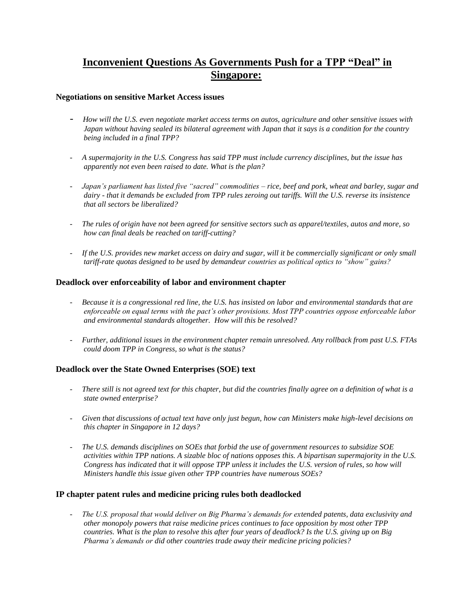# **Inconvenient Questions As Governments Push for a TPP "Deal" in Singapore:**

## **Negotiations on sensitive Market Access issues**

- *How will the U.S. even negotiate market access terms on autos, agriculture and other sensitive issues with Japan without having sealed its bilateral agreement with Japan that it says is a condition for the country being included in a final TPP?*
- *A supermajority in the U.S. Congress has said TPP must include currency disciplines, but the issue has apparently not even been raised to date. What is the plan?*
- *Japan's parliament has listed five "sacred" commodities – rice, beef and pork, wheat and barley, sugar and dairy - that it demands be excluded from TPP rules zeroing out tariffs. Will the U.S. reverse its insistence that all sectors be liberalized?*
- *The rules of origin have not been agreed for sensitive sectors such as apparel/textiles, autos and more, so how can final deals be reached on tariff-cutting?*
- *If the U.S. provides new market access on dairy and sugar, will it be commercially significant or only small tariff-rate quotas designed to be used by demandeur countries as political optics to "show" gains?*

## **Deadlock over enforceability of labor and environment chapter**

- *Because it is a congressional red line, the U.S. has insisted on labor and environmental standards that are enforceable on equal terms with the pact's other provisions. Most TPP countries oppose enforceable labor and environmental standards altogether. How will this be resolved?*
- *Further, additional issues in the environment chapter remain unresolved. Any rollback from past U.S. FTAs could doom TPP in Congress, so what is the status?*

# **Deadlock over the State Owned Enterprises (SOE) text**

- *There still is not agreed text for this chapter, but did the countries finally agree on a definition of what is a state owned enterprise?*
- *Given that discussions of actual text have only just begun, how can Ministers make high-level decisions on this chapter in Singapore in 12 days?*
- *The U.S. demands disciplines on SOEs that forbid the use of government resources to subsidize SOE activities within TPP nations. A sizable bloc of nations opposes this. A bipartisan supermajority in the U.S. Congress has indicated that it will oppose TPP unless it includes the U.S. version of rules, so how will Ministers handle this issue given other TPP countries have numerous SOEs?*

#### **IP chapter patent rules and medicine pricing rules both deadlocked**

- *The U.S. proposal that would deliver on Big Pharma's demands for extended patents, data exclusivity and other monopoly powers that raise medicine prices continues to face opposition by most other TPP countries. What is the plan to resolve this after four years of deadlock? Is the U.S. giving up on Big Pharma's demands or did other countries trade away their medicine pricing policies?*